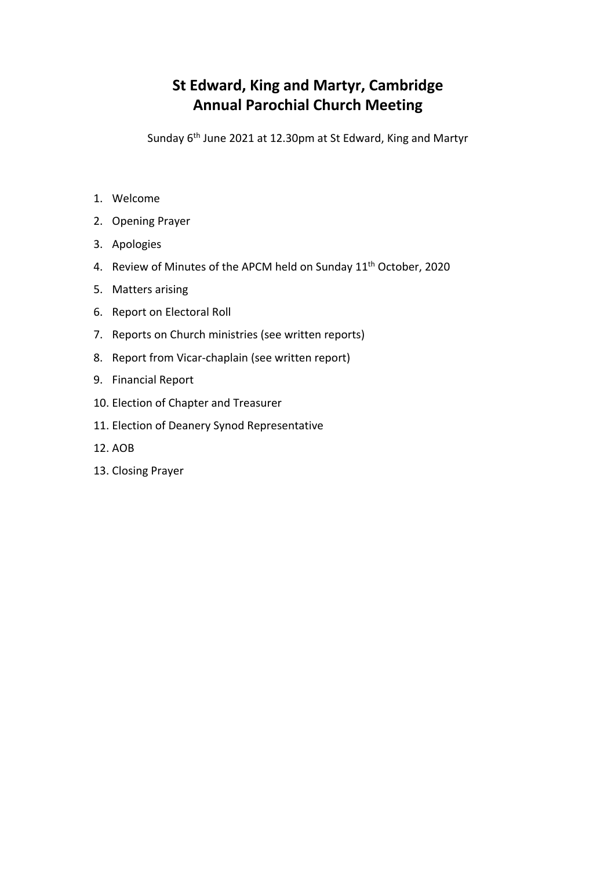# **St Edward, King and Martyr, Cambridge Annual Parochial Church Meeting**

Sunday 6th June 2021 at 12.30pm at St Edward, King and Martyr

- 1. Welcome
- 2. Opening Prayer
- 3. Apologies
- 4. Review of Minutes of the APCM held on Sunday 11<sup>th</sup> October, 2020
- 5. Matters arising
- 6. Report on Electoral Roll
- 7. Reports on Church ministries (see written reports)
- 8. Report from Vicar-chaplain (see written report)
- 9. Financial Report
- 10. Election of Chapter and Treasurer
- 11. Election of Deanery Synod Representative
- 12. AOB
- 13. Closing Prayer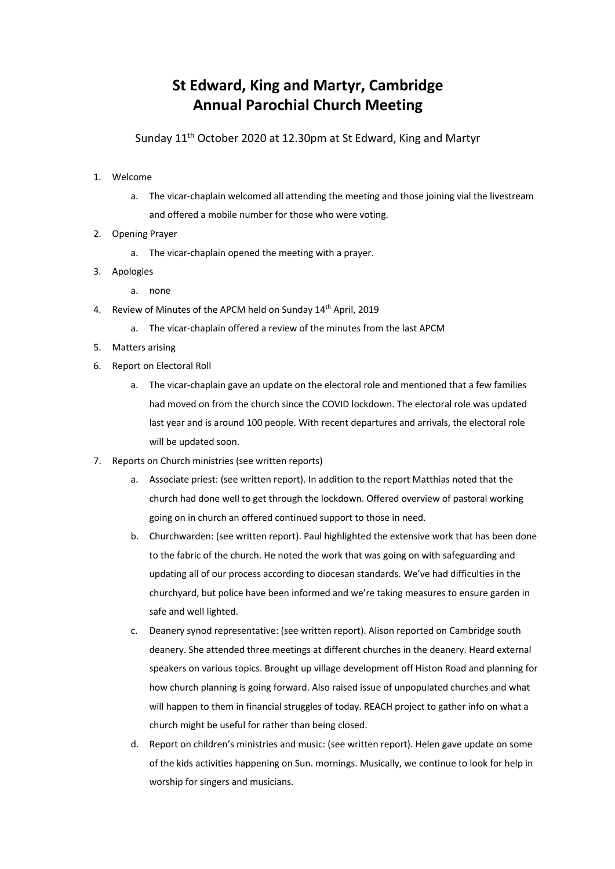## **St Edward, King and Martyr, Cambridge Annual Parochial Church Meeting**

Sunday 11th October 2020 at 12.30pm at St Edward, King and Martyr

- 1. Welcome
	- a. The vicar-chaplain welcomed all attending the meeting and those joining vial the livestream and offered a mobile number for those who were voting.
- 2. Opening Prayer
	- a. The vicar-chaplain opened the meeting with a prayer.
- 3. Apologies
	- a. none
- 4. Review of Minutes of the APCM held on Sunday 14<sup>th</sup> April, 2019
	- a. The vicar-chaplain offered a review of the minutes from the last APCM
- 5. Matters arising
- 6. Report on Electoral Roll
	- a. The vicar-chaplain gave an update on the electoral role and mentioned that a few families had moved on from the church since the COVID lockdown. The electoral role was updated last year and is around 100 people. With recent departures and arrivals, the electoral role will be updated soon.
- 7. Reports on Church ministries (see written reports)
	- a. Associate priest: (see written report). In addition to the report Matthias noted that the church had done well to get through the lockdown. Offered overview of pastoral working going on in church an offered continued support to those in need.
	- b. Churchwarden: (see written report). Paul highlighted the extensive work that has been done to the fabric of the church. He noted the work that was going on with safeguarding and updating all of our process according to diocesan standards. We've had difficulties in the churchyard, but police have been informed and we're taking measures to ensure garden in safe and well lighted.
	- c. Deanery synod representative: (see written report). Alison reported on Cambridge south deanery. She attended three meetings at different churches in the deanery. Heard external speakers on various topics. Brought up village development off Histon Road and planning for how church planning is going forward. Also raised issue of unpopulated churches and what will happen to them in financial struggles of today. REACH project to gather info on what a church might be useful for rather than being closed.
	- d. Report on children's ministries and music: (see written report). Helen gave update on some of the kids activities happening on Sun. mornings. Musically, we continue to look for help in worship for singers and musicians.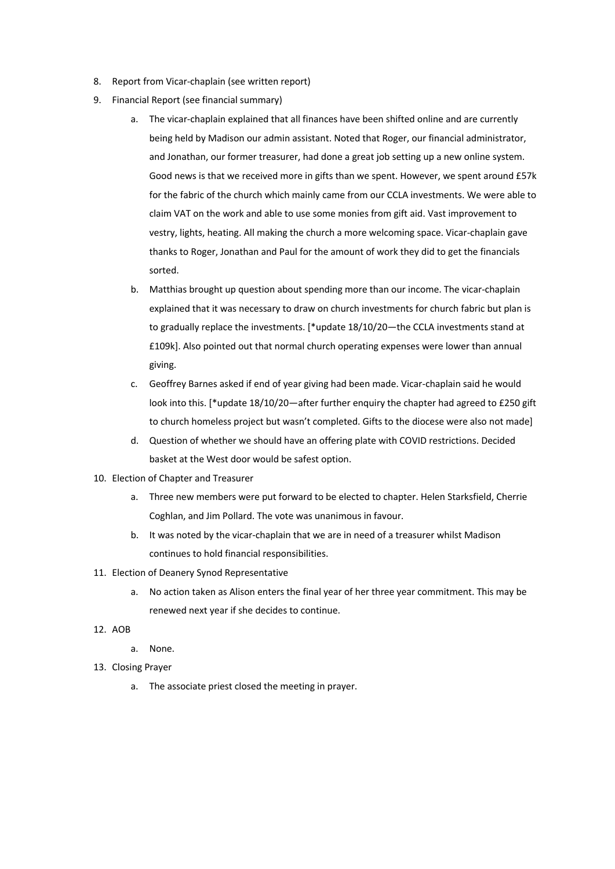- 8. Report from Vicar-chaplain (see written report)
- 9. Financial Report (see financial summary)
	- a. The vicar-chaplain explained that all finances have been shifted online and are currently being held by Madison our admin assistant. Noted that Roger, our financial administrator, and Jonathan, our former treasurer, had done a great job setting up a new online system. Good news is that we received more in gifts than we spent. However, we spent around £57k for the fabric of the church which mainly came from our CCLA investments. We were able to claim VAT on the work and able to use some monies from gift aid. Vast improvement to vestry, lights, heating. All making the church a more welcoming space. Vicar-chaplain gave thanks to Roger, Jonathan and Paul for the amount of work they did to get the financials sorted.
	- b. Matthias brought up question about spending more than our income. The vicar-chaplain explained that it was necessary to draw on church investments for church fabric but plan is to gradually replace the investments. [\*update 18/10/20—the CCLA investments stand at £109k]. Also pointed out that normal church operating expenses were lower than annual giving.
	- c. Geoffrey Barnes asked if end of year giving had been made. Vicar-chaplain said he would look into this. [\*update 18/10/20—after further enquiry the chapter had agreed to £250 gift to church homeless project but wasn't completed. Gifts to the diocese were also not made]
	- d. Question of whether we should have an offering plate with COVID restrictions. Decided basket at the West door would be safest option.
- 10. Election of Chapter and Treasurer
	- a. Three new members were put forward to be elected to chapter. Helen Starksfield, Cherrie Coghlan, and Jim Pollard. The vote was unanimous in favour.
	- b. It was noted by the vicar-chaplain that we are in need of a treasurer whilst Madison continues to hold financial responsibilities.
- 11. Election of Deanery Synod Representative
	- a. No action taken as Alison enters the final year of her three year commitment. This may be renewed next year if she decides to continue.
- 12. AOB
	- a. None.
- 13. Closing Prayer
	- a. The associate priest closed the meeting in prayer.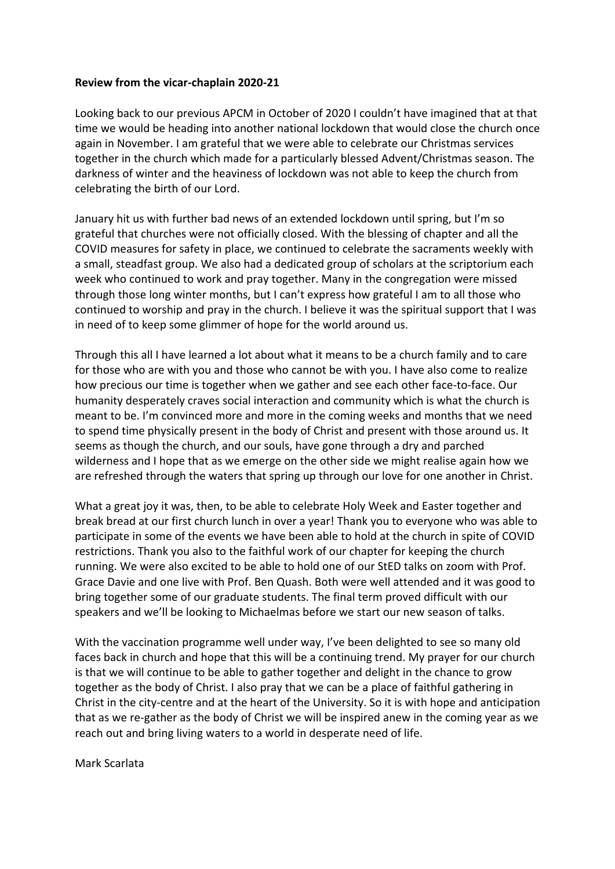## **Review from the vicar-chaplain 2020-21**

Looking back to our previous APCM in October of 2020 I couldn't have imagined that at that time we would be heading into another national lockdown that would close the church once again in November. I am grateful that we were able to celebrate our Christmas services together in the church which made for a particularly blessed Advent/Christmas season. The darkness of winter and the heaviness of lockdown was not able to keep the church from celebrating the birth of our Lord.

January hit us with further bad news of an extended lockdown until spring, but I'm so grateful that churches were not officially closed. With the blessing of chapter and all the COVID measures for safety in place, we continued to celebrate the sacraments weekly with a small, steadfast group. We also had a dedicated group of scholars at the scriptorium each week who continued to work and pray together. Many in the congregation were missed through those long winter months, but I can't express how grateful I am to all those who continued to worship and pray in the church. I believe it was the spiritual support that I was in need of to keep some glimmer of hope for the world around us.

Through this all I have learned a lot about what it means to be a church family and to care for those who are with you and those who cannot be with you. I have also come to realize how precious our time is together when we gather and see each other face-to-face. Our humanity desperately craves social interaction and community which is what the church is meant to be. I'm convinced more and more in the coming weeks and months that we need to spend time physically present in the body of Christ and present with those around us. It seems as though the church, and our souls, have gone through a dry and parched wilderness and I hope that as we emerge on the other side we might realise again how we are refreshed through the waters that spring up through our love for one another in Christ.

What a great joy it was, then, to be able to celebrate Holy Week and Easter together and break bread at our first church lunch in over a year! Thank you to everyone who was able to participate in some of the events we have been able to hold at the church in spite of COVID restrictions. Thank you also to the faithful work of our chapter for keeping the church running. We were also excited to be able to hold one of our StED talks on zoom with Prof. Grace Davie and one live with Prof. Ben Quash. Both were well attended and it was good to bring together some of our graduate students. The final term proved difficult with our speakers and we'll be looking to Michaelmas before we start our new season of talks.

With the vaccination programme well under way, I've been delighted to see so many old faces back in church and hope that this will be a continuing trend. My prayer for our church is that we will continue to be able to gather together and delight in the chance to grow together as the body of Christ. I also pray that we can be a place of faithful gathering in Christ in the city-centre and at the heart of the University. So it is with hope and anticipation that as we re-gather as the body of Christ we will be inspired anew in the coming year as we reach out and bring living waters to a world in desperate need of life.

Mark Scarlata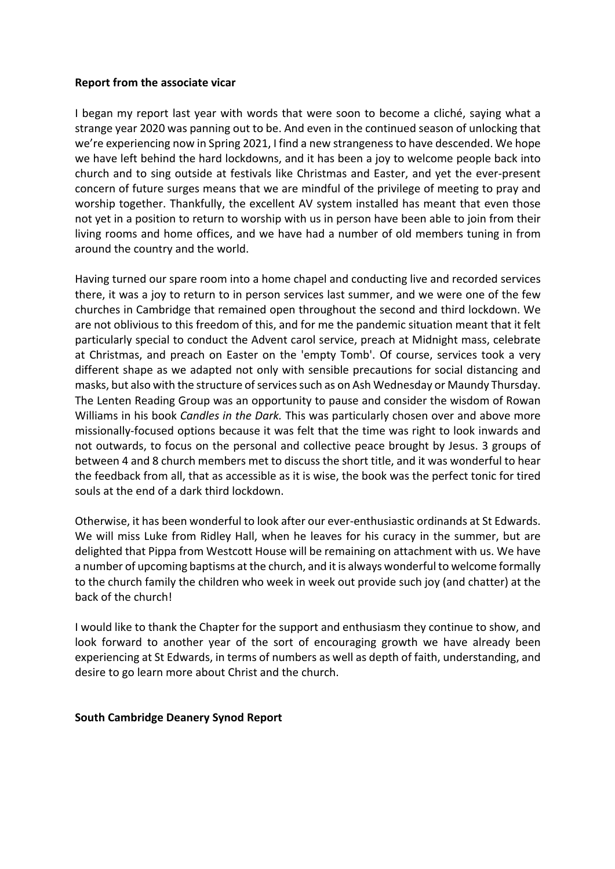#### **Report from the associate vicar**

I began my report last year with words that were soon to become a cliché, saying what a strange year 2020 was panning out to be. And even in the continued season of unlocking that we're experiencing now in Spring 2021, I find a new strangeness to have descended. We hope we have left behind the hard lockdowns, and it has been a joy to welcome people back into church and to sing outside at festivals like Christmas and Easter, and yet the ever-present concern of future surges means that we are mindful of the privilege of meeting to pray and worship together. Thankfully, the excellent AV system installed has meant that even those not yet in a position to return to worship with us in person have been able to join from their living rooms and home offices, and we have had a number of old members tuning in from around the country and the world.

Having turned our spare room into a home chapel and conducting live and recorded services there, it was a joy to return to in person services last summer, and we were one of the few churches in Cambridge that remained open throughout the second and third lockdown. We are not oblivious to this freedom of this, and for me the pandemic situation meant that it felt particularly special to conduct the Advent carol service, preach at Midnight mass, celebrate at Christmas, and preach on Easter on the 'empty Tomb'. Of course, services took a very different shape as we adapted not only with sensible precautions for social distancing and masks, but also with the structure of services such as on Ash Wednesday or Maundy Thursday. The Lenten Reading Group was an opportunity to pause and consider the wisdom of Rowan Williams in his book *Candles in the Dark.* This was particularly chosen over and above more missionally-focused options because it was felt that the time was right to look inwards and not outwards, to focus on the personal and collective peace brought by Jesus. 3 groups of between 4 and 8 church members met to discuss the short title, and it was wonderful to hear the feedback from all, that as accessible as it is wise, the book was the perfect tonic for tired souls at the end of a dark third lockdown.

Otherwise, it has been wonderful to look after our ever-enthusiastic ordinands at St Edwards. We will miss Luke from Ridley Hall, when he leaves for his curacy in the summer, but are delighted that Pippa from Westcott House will be remaining on attachment with us. We have a number of upcoming baptisms at the church, and it is always wonderful to welcome formally to the church family the children who week in week out provide such joy (and chatter) at the back of the church!

I would like to thank the Chapter for the support and enthusiasm they continue to show, and look forward to another year of the sort of encouraging growth we have already been experiencing at St Edwards, in terms of numbers as well as depth of faith, understanding, and desire to go learn more about Christ and the church.

#### **South Cambridge Deanery Synod Report**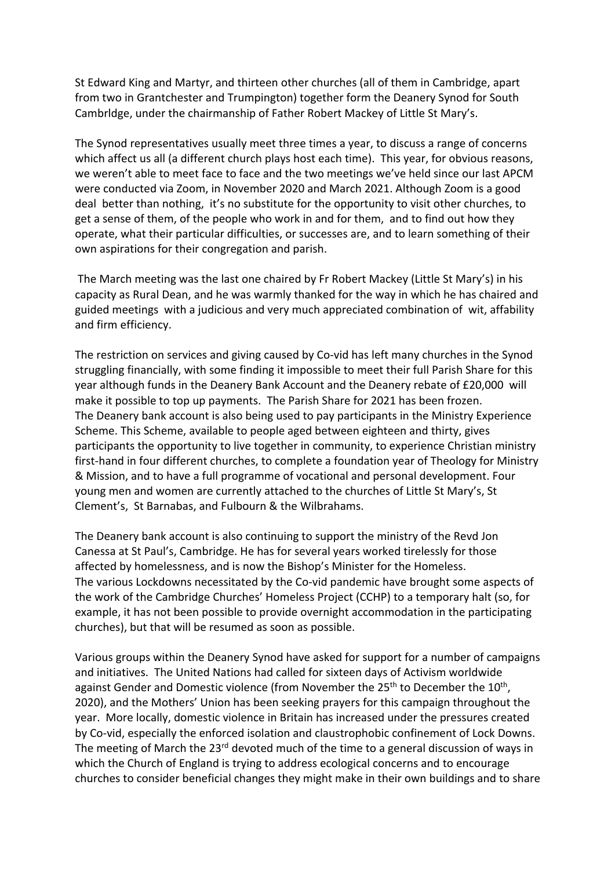St Edward King and Martyr, and thirteen other churches (all of them in Cambridge, apart from two in Grantchester and Trumpington) together form the Deanery Synod for South Cambrldge, under the chairmanship of Father Robert Mackey of Little St Mary's.

The Synod representatives usually meet three times a year, to discuss a range of concerns which affect us all (a different church plays host each time). This year, for obvious reasons, we weren't able to meet face to face and the two meetings we've held since our last APCM were conducted via Zoom, in November 2020 and March 2021. Although Zoom is a good deal better than nothing, it's no substitute for the opportunity to visit other churches, to get a sense of them, of the people who work in and for them, and to find out how they operate, what their particular difficulties, or successes are, and to learn something of their own aspirations for their congregation and parish.

The March meeting was the last one chaired by Fr Robert Mackey (Little St Mary's) in his capacity as Rural Dean, and he was warmly thanked for the way in which he has chaired and guided meetings with a judicious and very much appreciated combination of wit, affability and firm efficiency.

The restriction on services and giving caused by Co-vid has left many churches in the Synod struggling financially, with some finding it impossible to meet their full Parish Share for this year although funds in the Deanery Bank Account and the Deanery rebate of £20,000 will make it possible to top up payments. The Parish Share for 2021 has been frozen. The Deanery bank account is also being used to pay participants in the Ministry Experience Scheme. This Scheme, available to people aged between eighteen and thirty, gives participants the opportunity to live together in community, to experience Christian ministry first-hand in four different churches, to complete a foundation year of Theology for Ministry & Mission, and to have a full programme of vocational and personal development. Four young men and women are currently attached to the churches of Little St Mary's, St Clement's, St Barnabas, and Fulbourn & the Wilbrahams.

The Deanery bank account is also continuing to support the ministry of the Revd Jon Canessa at St Paul's, Cambridge. He has for several years worked tirelessly for those affected by homelessness, and is now the Bishop's Minister for the Homeless. The various Lockdowns necessitated by the Co-vid pandemic have brought some aspects of the work of the Cambridge Churches' Homeless Project (CCHP) to a temporary halt (so, for example, it has not been possible to provide overnight accommodation in the participating churches), but that will be resumed as soon as possible.

Various groups within the Deanery Synod have asked for support for a number of campaigns and initiatives. The United Nations had called for sixteen days of Activism worldwide against Gender and Domestic violence (from November the  $25<sup>th</sup>$  to December the  $10<sup>th</sup>$ , 2020), and the Mothers' Union has been seeking prayers for this campaign throughout the year. More locally, domestic violence in Britain has increased under the pressures created by Co-vid, especially the enforced isolation and claustrophobic confinement of Lock Downs. The meeting of March the 23<sup>rd</sup> devoted much of the time to a general discussion of ways in which the Church of England is trying to address ecological concerns and to encourage churches to consider beneficial changes they might make in their own buildings and to share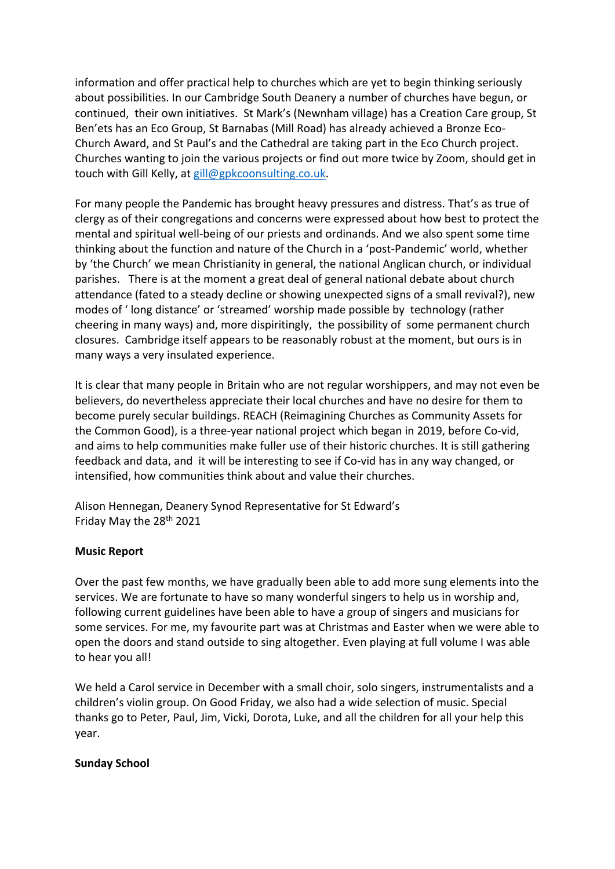information and offer practical help to churches which are yet to begin thinking seriously about possibilities. In our Cambridge South Deanery a number of churches have begun, or continued, their own initiatives. St Mark's (Newnham village) has a Creation Care group, St Ben'ets has an Eco Group, St Barnabas (Mill Road) has already achieved a Bronze Eco-Church Award, and St Paul's and the Cathedral are taking part in the Eco Church project. Churches wanting to join the various projects or find out more twice by Zoom, should get in touch with Gill Kelly, at gill@gpkcoonsulting.co.uk.

For many people the Pandemic has brought heavy pressures and distress. That's as true of clergy as of their congregations and concerns were expressed about how best to protect the mental and spiritual well-being of our priests and ordinands. And we also spent some time thinking about the function and nature of the Church in a 'post-Pandemic' world, whether by 'the Church' we mean Christianity in general, the national Anglican church, or individual parishes. There is at the moment a great deal of general national debate about church attendance (fated to a steady decline or showing unexpected signs of a small revival?), new modes of ' long distance' or 'streamed' worship made possible by technology (rather cheering in many ways) and, more dispiritingly, the possibility of some permanent church closures. Cambridge itself appears to be reasonably robust at the moment, but ours is in many ways a very insulated experience.

It is clear that many people in Britain who are not regular worshippers, and may not even be believers, do nevertheless appreciate their local churches and have no desire for them to become purely secular buildings. REACH (Reimagining Churches as Community Assets for the Common Good), is a three-year national project which began in 2019, before Co-vid, and aims to help communities make fuller use of their historic churches. It is still gathering feedback and data, and it will be interesting to see if Co-vid has in any way changed, or intensified, how communities think about and value their churches.

Alison Hennegan, Deanery Synod Representative for St Edward's Friday May the 28th 2021

## **Music Report**

Over the past few months, we have gradually been able to add more sung elements into the services. We are fortunate to have so many wonderful singers to help us in worship and, following current guidelines have been able to have a group of singers and musicians for some services. For me, my favourite part was at Christmas and Easter when we were able to open the doors and stand outside to sing altogether. Even playing at full volume I was able to hear you all!

We held a Carol service in December with a small choir, solo singers, instrumentalists and a children's violin group. On Good Friday, we also had a wide selection of music. Special thanks go to Peter, Paul, Jim, Vicki, Dorota, Luke, and all the children for all your help this year.

## **Sunday School**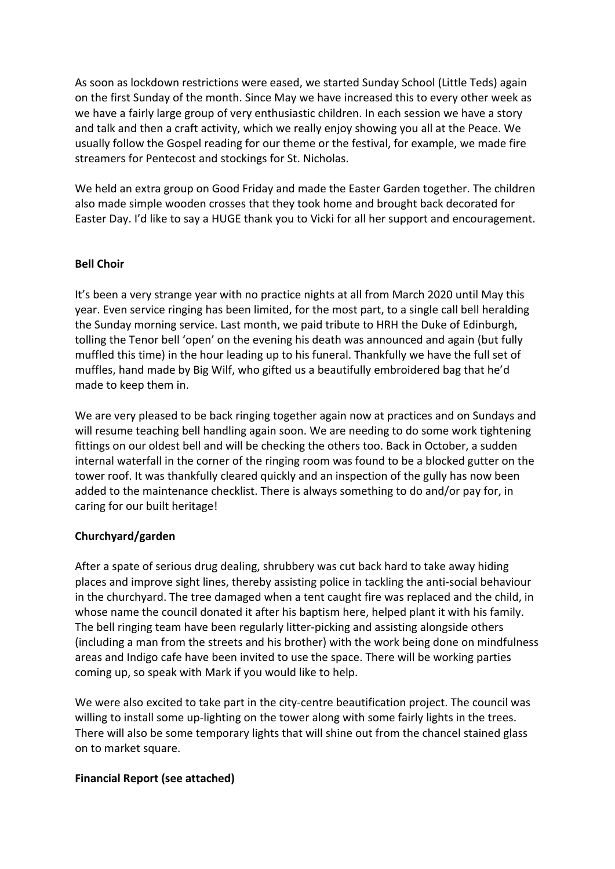As soon as lockdown restrictions were eased, we started Sunday School (Little Teds) again on the first Sunday of the month. Since May we have increased this to every other week as we have a fairly large group of very enthusiastic children. In each session we have a story and talk and then a craft activity, which we really enjoy showing you all at the Peace. We usually follow the Gospel reading for our theme or the festival, for example, we made fire streamers for Pentecost and stockings for St. Nicholas.

We held an extra group on Good Friday and made the Easter Garden together. The children also made simple wooden crosses that they took home and brought back decorated for Easter Day. I'd like to say a HUGE thank you to Vicki for all her support and encouragement.

## **Bell Choir**

It's been a very strange year with no practice nights at all from March 2020 until May this year. Even service ringing has been limited, for the most part, to a single call bell heralding the Sunday morning service. Last month, we paid tribute to HRH the Duke of Edinburgh, tolling the Tenor bell 'open' on the evening his death was announced and again (but fully muffled this time) in the hour leading up to his funeral. Thankfully we have the full set of muffles, hand made by Big Wilf, who gifted us a beautifully embroidered bag that he'd made to keep them in.

We are very pleased to be back ringing together again now at practices and on Sundays and will resume teaching bell handling again soon. We are needing to do some work tightening fittings on our oldest bell and will be checking the others too. Back in October, a sudden internal waterfall in the corner of the ringing room was found to be a blocked gutter on the tower roof. It was thankfully cleared quickly and an inspection of the gully has now been added to the maintenance checklist. There is always something to do and/or pay for, in caring for our built heritage!

## **Churchyard/garden**

After a spate of serious drug dealing, shrubbery was cut back hard to take away hiding places and improve sight lines, thereby assisting police in tackling the anti-social behaviour in the churchyard. The tree damaged when a tent caught fire was replaced and the child, in whose name the council donated it after his baptism here, helped plant it with his family. The bell ringing team have been regularly litter-picking and assisting alongside others (including a man from the streets and his brother) with the work being done on mindfulness areas and Indigo cafe have been invited to use the space. There will be working parties coming up, so speak with Mark if you would like to help.

We were also excited to take part in the city-centre beautification project. The council was willing to install some up-lighting on the tower along with some fairly lights in the trees. There will also be some temporary lights that will shine out from the chancel stained glass on to market square.

## **Financial Report (see attached)**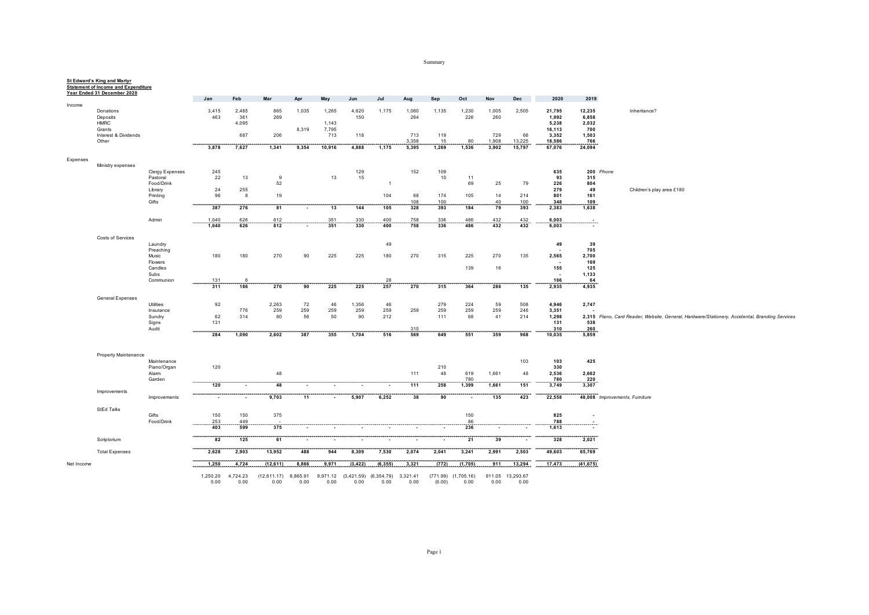Summary

|            | Year Ended 31 December 2020 |                      | Jan                                   | Feb               | Mar                 | Apr       | May               | Jun               | Jul               | Aug               | Sep             | Oct               | Nov               | Dec              | 2020               | 2019            |                                                                                                |
|------------|-----------------------------|----------------------|---------------------------------------|-------------------|---------------------|-----------|-------------------|-------------------|-------------------|-------------------|-----------------|-------------------|-------------------|------------------|--------------------|-----------------|------------------------------------------------------------------------------------------------|
| Income     |                             |                      |                                       |                   |                     |           |                   |                   |                   |                   |                 |                   |                   |                  |                    |                 |                                                                                                |
|            | Donations<br>Deposits       |                      | 3,415<br>463                          | 2,485<br>361      | 865<br>269          | 1,035     | 1,265             | 4,620<br>150      | 1,175             | 1,060<br>264      | 1,135           | 1,230<br>226      | 1,005<br>260      | 2,505            | 21,795<br>1,992    | 12,235<br>6,858 | Inheritance?                                                                                   |
|            | <b>HMRC</b>                 |                      |                                       | 4,095             |                     |           | 1,143             |                   |                   |                   |                 |                   |                   |                  | 5,238              | 2,032           |                                                                                                |
|            | Grants                      |                      |                                       |                   |                     | 8,319     | 7,795             |                   |                   |                   |                 |                   |                   |                  | 16,113             | 700             |                                                                                                |
|            | Interest & Dividends        |                      |                                       | 687               | 206                 |           | 713               | 118               |                   | 713               | 119             |                   | 729               | 66               | 3,352              | 1,503           |                                                                                                |
|            | Other                       |                      | 3,878                                 | 7,627             | 1,341               | 9,354     | 10,916            | 4,888             | 1,175             | 3,358<br>5,395    | 15<br>1,269     | 80<br>1,536       | 1,908<br>3,902    | 13,225<br>15,797 | 18,586<br>67,076   | 766<br>24,094   |                                                                                                |
|            |                             |                      |                                       |                   |                     |           |                   |                   |                   |                   |                 |                   |                   |                  |                    |                 |                                                                                                |
| Expenses   | Ministry expenses           |                      |                                       |                   |                     |           |                   |                   |                   |                   |                 |                   |                   |                  |                    |                 |                                                                                                |
|            |                             | Clergy Expenses      | 245                                   |                   |                     |           |                   | 129               |                   | 152               | 109             |                   |                   |                  | 635                |                 | 200 Phone                                                                                      |
|            |                             | Pastoral             | 22                                    | 13                | 9                   |           | 13                | 15                |                   |                   | 10              | 11                |                   |                  | 93                 | 315             |                                                                                                |
|            |                             | Food/Drink           |                                       |                   | 52                  |           |                   |                   | $\overline{1}$    |                   |                 | 69                | 25                | 79               | 226                | 804             |                                                                                                |
|            |                             | Library<br>Printing  | 24<br>96                              | 255<br>8          | 19                  |           |                   |                   | 104               | 68                | 174             | 105               | 14                | 214              | 279<br>801         | 49<br>161       | Children's play area £180                                                                      |
|            |                             | Gifts                |                                       |                   |                     |           |                   |                   |                   | 108               | 100             |                   | 40                | 100              | 348                | 109             |                                                                                                |
|            |                             |                      | 387                                   | 276               | 81                  | $\sim$    | 13                | 144               | 105               | 328               | 393             | 184               | 79                | 393              | 2,383              | 1,638           |                                                                                                |
|            |                             | Admin                |                                       |                   |                     |           |                   |                   |                   |                   |                 |                   |                   |                  |                    |                 |                                                                                                |
|            |                             |                      | $1,040$<br>$1,040$<br>$\sim$ - $\sim$ | $\frac{626}{626}$ | $\frac{812}{812}$   |           | $\frac{351}{351}$ | $\frac{330}{330}$ | $\frac{400}{400}$ | 758<br><b>758</b> | 336<br>336      | $\frac{486}{486}$ | $\frac{432}{432}$ | $432$<br>$432$   | $6,003$<br>$6,003$ | .               |                                                                                                |
|            | Costs of Services           |                      |                                       |                   |                     |           |                   |                   |                   |                   |                 |                   |                   |                  |                    |                 |                                                                                                |
|            |                             | Laundry              |                                       |                   |                     |           |                   |                   | 49                |                   |                 |                   |                   |                  | 49                 | 39              |                                                                                                |
|            |                             | Preaching            |                                       |                   |                     |           |                   |                   |                   |                   |                 |                   |                   |                  |                    | 705             |                                                                                                |
|            |                             | Music                | 180                                   | 180               | 270                 | 90        | 225               | 225               | 180               | 270               | 315             | 225               | 270               | 135              | 2,565              | 2,700           |                                                                                                |
|            |                             | Flowers<br>Candles   |                                       |                   |                     |           |                   |                   |                   |                   |                 | 139               | 16                |                  | 155                | 169<br>125      |                                                                                                |
|            |                             | Subs                 |                                       |                   |                     |           |                   |                   |                   |                   |                 |                   |                   |                  |                    | 1,133           |                                                                                                |
|            |                             | Communion            | 131                                   | -6                |                     |           |                   |                   | 28                |                   |                 |                   |                   |                  | 166                | 64              |                                                                                                |
|            |                             |                      | 311                                   | 186               | 270                 | 90        | 225               | 225               | 257               | 270               | 315             | 364               | 286               | 135              | 2,935              | 4,935           |                                                                                                |
|            | <b>General Expenses</b>     |                      |                                       |                   |                     |           |                   |                   |                   |                   |                 |                   |                   |                  |                    |                 |                                                                                                |
|            |                             | Utilities            | 92                                    |                   | 2,263               | 72        | 46                | 1,356             | 46                |                   | 279             | 224               | 59                | 508              | 4,946              | 2,747           |                                                                                                |
|            |                             | Insurance<br>Sundry  | 62                                    | 776<br>314        | 259<br>80           | 259<br>56 | 259<br>50         | 259<br>90         | 259<br>212        | 259               | 259<br>111      | 259<br>68         | 259<br>41         | 246<br>214       | 3,351<br>1,298     |                 | 2,315 Piano, Card Reader, Website, General, Hardware/Stationery, Accidental, Branding Services |
|            |                             | Signs                | 131                                   |                   |                     |           |                   |                   |                   |                   |                 |                   |                   |                  | 131                | 538             |                                                                                                |
|            |                             | Audit                | وموجود ومراجع                         | سيستعيذ           |                     |           | ستعصب             | <b>CONTRACTOR</b> | محمد محمد         | 310               | ستحصص والمحادثة | ستستعد            | محمد محمد         | and and an       | 310                | 260             |                                                                                                |
|            |                             |                      | 284                                   | 1,090             | 2,602               | 387       | 355               | 1,704             | 516               | 569               | 649             | 551               | 359               | 968              | 10,035             | 5,859           |                                                                                                |
|            |                             |                      |                                       |                   |                     |           |                   |                   |                   |                   |                 |                   |                   |                  |                    |                 |                                                                                                |
|            | Property Maintenance        |                      |                                       |                   |                     |           |                   |                   |                   |                   |                 |                   |                   |                  |                    |                 |                                                                                                |
|            |                             | Maintenance          |                                       |                   |                     |           |                   |                   |                   |                   |                 |                   |                   | 103              | 103                | 425             |                                                                                                |
|            |                             | Piano/Organ<br>Alarm | 120                                   |                   | 48                  |           |                   |                   |                   | 111               | 210<br>48       | 619               | 1,661             | 48               | 330<br>2,536       | 2,662           |                                                                                                |
|            |                             | Garden               |                                       |                   |                     |           |                   |                   |                   |                   | ---------       | 780               |                   |                  | 780                | 220             |                                                                                                |
|            |                             |                      | 120                                   |                   | 48                  |           |                   |                   | ٠                 | 111               | 258             | 1,399             | 1,661             | 151              | 3,749              | 3,307           |                                                                                                |
|            | Improvements                | Improvements         |                                       |                   |                     |           |                   |                   |                   |                   |                 |                   |                   |                  |                    |                 | 48,008 Improvements, Furniture                                                                 |
|            | <b>StEd Talks</b>           |                      |                                       |                   |                     |           |                   |                   |                   |                   |                 |                   |                   |                  |                    |                 |                                                                                                |
|            |                             | Gifts                | 150                                   | 150               | 375                 |           |                   |                   |                   |                   |                 | 150               |                   |                  | 825                | $\sim$          |                                                                                                |
|            |                             | Food/Drink           |                                       |                   |                     |           |                   |                   |                   |                   |                 |                   |                   |                  |                    |                 |                                                                                                |
|            |                             |                      |                                       |                   |                     |           |                   |                   |                   |                   |                 |                   |                   |                  |                    |                 |                                                                                                |
|            | Scriptorium                 |                      | $82$ $125$                            |                   | $61$ $61$ $39$ $39$ |           |                   |                   |                   |                   |                 |                   |                   |                  | 328                | 2,021           |                                                                                                |
|            | <b>Total Expenses</b>       |                      | 2,628                                 | 2,903             | 13,952              | 488       | 944               | 8,309             | 7,530             | 2,074             | 2,041           | 3,241             | 2,991             | 2,503            | 49,603             | 65,769          |                                                                                                |
|            |                             |                      |                                       |                   |                     |           |                   |                   |                   |                   |                 |                   |                   |                  |                    |                 |                                                                                                |
| Net Income |                             |                      | 1,250                                 | 4.724             | (12, 611)           | 8.866     | 9,971             | (3, 422)          | (6, 355)          | 3,321             | (772)           | (1,705)           | 911               | 13,294           | 17,473             | (41, 675)       |                                                                                                |

1,250.20 4,724.23 (12,611.17) 8,865.91 9,971.12 (3,421.59) (6,354.79) 3,321.41 (771.99) (1,705.16) 911.05 13,293.67 0.00 0.00 0.00 0.00 0.00 0.00 0.00 0.00 (0.00) 0.00 0.00 0.00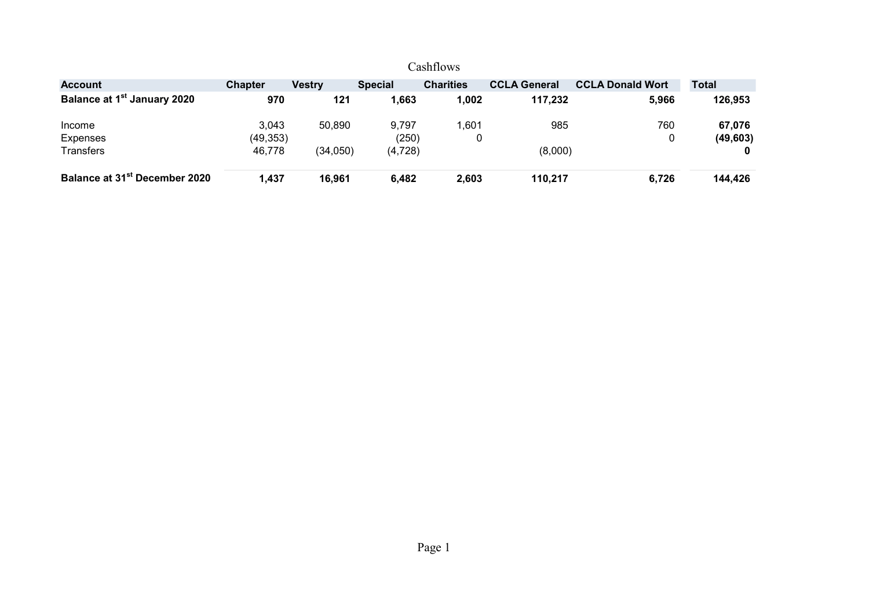|                                           |                |               |                | Cashflows        |                     |                         |              |
|-------------------------------------------|----------------|---------------|----------------|------------------|---------------------|-------------------------|--------------|
| <b>Account</b>                            | <b>Chapter</b> | <b>Vestry</b> | <b>Special</b> | <b>Charities</b> | <b>CCLA General</b> | <b>CCLA Donald Wort</b> | <b>Total</b> |
| Balance at 1 <sup>st</sup> January 2020   | 970            | 121           | 1,663          | 1,002            | 117,232             | 5,966                   | 126,953      |
| Income                                    | 3.043          | 50,890        | 9,797          | 1,601            | 985                 | 760                     | 67,076       |
| Expenses                                  | (49, 353)      |               | (250)          |                  |                     |                         | (49, 603)    |
| Transfers                                 | 46,778         | (34, 050)     | (4, 728)       |                  | (8,000)             |                         | 0            |
| Balance at 31 <sup>st</sup> December 2020 | 1,437          | 16,961        | 6,482          | 2,603            | 110,217             | 6,726                   | 144,426      |